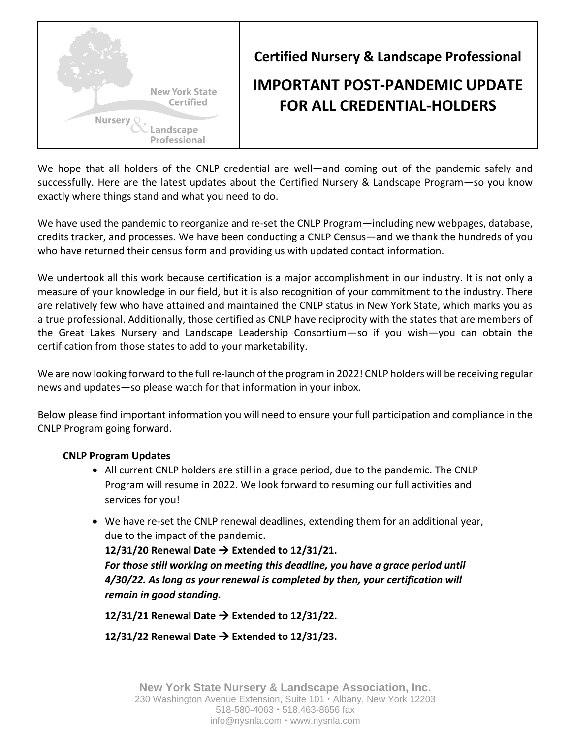

**Certified Nursery & Landscape Professional**

# **IMPORTANT POST-PANDEMIC UPDATE FOR ALL CREDENTIAL-HOLDERS**

We hope that all holders of the CNLP credential are well—and coming out of the pandemic safely and successfully. Here are the latest updates about the Certified Nursery & Landscape Program—so you know exactly where things stand and what you need to do.

We have used the pandemic to reorganize and re-set the CNLP Program—including new webpages, database, credits tracker, and processes. We have been conducting a CNLP Census—and we thank the hundreds of you who have returned their census form and providing us with updated contact information.

We undertook all this work because certification is a major accomplishment in our industry. It is not only a measure of your knowledge in our field, but it is also recognition of your commitment to the industry. There are relatively few who have attained and maintained the CNLP status in New York State, which marks you as a true professional. Additionally, those certified as CNLP have reciprocity with the states that are members of the Great Lakes Nursery and Landscape Leadership Consortium—so if you wish—you can obtain the certification from those states to add to your marketability.

We are now looking forward to the full re-launch of the program in 2022! CNLP holders will be receiving regular news and updates—so please watch for that information in your inbox.

Below please find important information you will need to ensure your full participation and compliance in the CNLP Program going forward.

## **CNLP Program Updates**

- All current CNLP holders are still in a grace period, due to the pandemic. The CNLP Program will resume in 2022. We look forward to resuming our full activities and services for you!
- We have re-set the CNLP renewal deadlines, extending them for an additional year, due to the impact of the pandemic.

**12/31/20 Renewal Date** → **Extended to 12/31/21.** *For those still working on meeting this deadline, you have a grace period until 4/30/22. As long as your renewal is completed by then, your certification will remain in good standing.* 

**12/31/21 Renewal Date** → **Extended to 12/31/22.**

**12/31/22 Renewal Date** → **Extended to 12/31/23.**